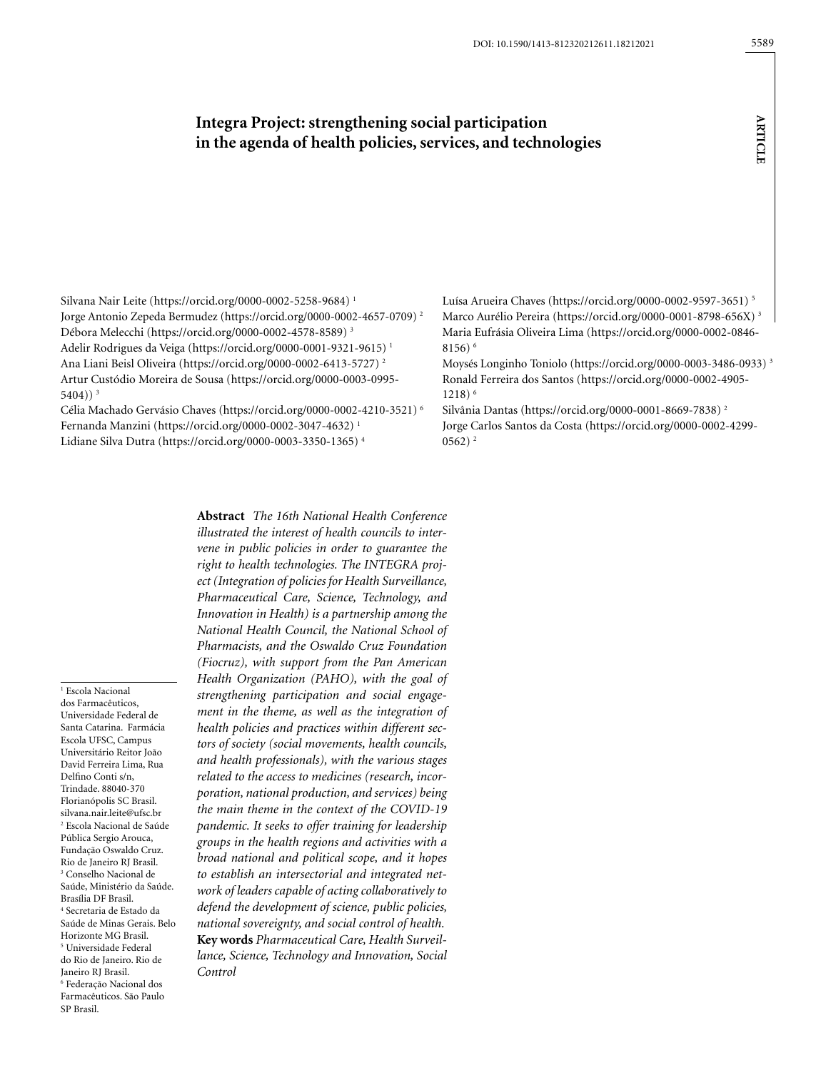**article**

**ARTICLE** 

# **Integra Project: strengthening social participation in the agenda of health policies, services, and technologies**

Silvana Nair Leite [\(https://orcid.org/0000-0002-5258-9684](https://orcid.org/0000-0002-5258-9684)) 1 Jorge Antonio Zepeda Bermudez (https://orcid.org/0000-0002-4657-0709) 2 Débora Melecchi (https://orcid.org/0000-0002-4578-8589) 3 Adelir Rodrigues da Veiga (https://orcid.org/0000-0001-9321-9615) 1 Ana Liani Beisl Oliveira (https://orcid.org/0000-0002-6413-5727) 2 Artur Custódio Moreira de Sousa (https://orcid.org/0000-0003-0995- 5404)) $3$ 

Célia Machado Gervásio Chaves (https://orcid.org/0000-0002-4210-3521) 6 Fernanda Manzini (https://orcid.org/0000-0002-3047-4632) 1 Lidiane Silva Dutra (https://orcid.org/0000-0003-3350-1365) 4

Luísa Arueira Chaves (https://orcid.org/0000-0002-9597-3651) 5 Marco Aurélio Pereira (https://orcid.org/0000-0001-8798-656X) 3 Maria Eufrásia Oliveira Lima (https://orcid.org/0000-0002-0846- 8156) 6

Moysés Longinho Toniolo (https://orcid.org/0000-0003-3486-0933) 3 Ronald Ferreira dos Santos (https://orcid.org/0000-0002-4905- 1218) 6

Silvânia Dantas (https://orcid.org/0000-0001-8669-7838) 2 Jorge Carlos Santos da Costa (https://orcid.org/0000-0002-4299-  $0562$ )<sup>2</sup>

1 Escola Nacional dos Farmacêuticos, Universidade Federal de Santa Catarina. Farmácia Escola UFSC, Campus Universitário Reitor João David Ferreira Lima, Rua Delfino Conti s/n, Trindade. 88040-370 Florianópolis SC Brasil. silvana.nair.leite@ufsc.br 2 Escola Nacional de Saúde Pública Sergio Arouca, Fundação Oswaldo Cruz. Rio de Janeiro RJ Brasil. 3 Conselho Nacional de Saúde, Ministério da Saúde. Brasília DF Brasil. 4 Secretaria de Estado da Saúde de Minas Gerais. Belo Horizonte MG Brasil. 5 Universidade Federal do Rio de Janeiro. Rio de Janeiro RJ Brasil. 6 Federação Nacional dos Farmacêuticos. São Paulo SP Brasil.

**Abstract** *The 16th National Health Conference illustrated the interest of health councils to intervene in public policies in order to guarantee the right to health technologies. The INTEGRA project (Integration of policies for Health Surveillance, Pharmaceutical Care, Science, Technology, and Innovation in Health) is a partnership among the National Health Council, the National School of Pharmacists, and the Oswaldo Cruz Foundation (Fiocruz), with support from the Pan American Health Organization (PAHO), with the goal of strengthening participation and social engagement in the theme, as well as the integration of health policies and practices within different sectors of society (social movements, health councils, and health professionals), with the various stages related to the access to medicines (research, incorporation, national production, and services) being the main theme in the context of the COVID-19 pandemic. It seeks to offer training for leadership groups in the health regions and activities with a broad national and political scope, and it hopes to establish an intersectorial and integrated network of leaders capable of acting collaboratively to defend the development of science, public policies, national sovereignty, and social control of health.*  **Key words** *Pharmaceutical Care, Health Surveillance, Science, Technology and Innovation, Social Control*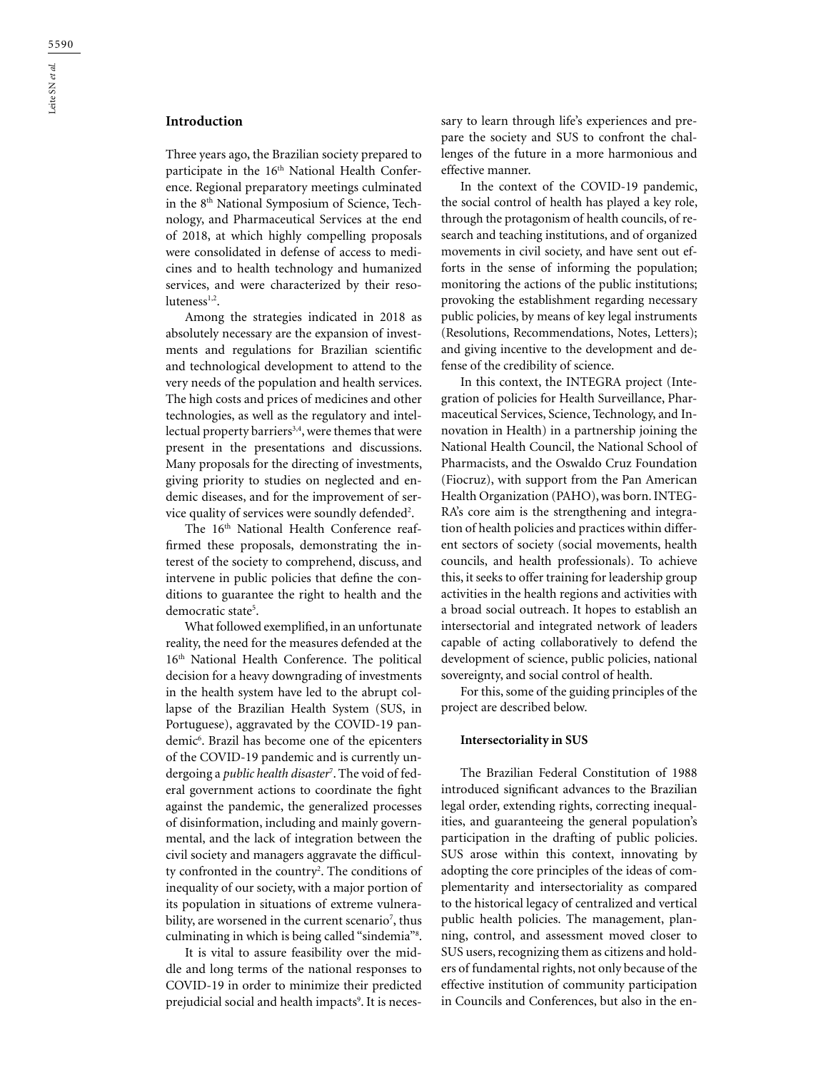# **Introduction**

Three years ago, the Brazilian society prepared to participate in the 16<sup>th</sup> National Health Conference. Regional preparatory meetings culminated in the 8th National Symposium of Science, Technology, and Pharmaceutical Services at the end of 2018, at which highly compelling proposals were consolidated in defense of access to medicines and to health technology and humanized services, and were characterized by their resoluteness<sup>1,2</sup>.

Among the strategies indicated in 2018 as absolutely necessary are the expansion of investments and regulations for Brazilian scientific and technological development to attend to the very needs of the population and health services. The high costs and prices of medicines and other technologies, as well as the regulatory and intellectual property barriers<sup>3,4</sup>, were themes that were present in the presentations and discussions. Many proposals for the directing of investments, giving priority to studies on neglected and endemic diseases, and for the improvement of service quality of services were soundly defended<sup>2</sup>.

The 16<sup>th</sup> National Health Conference reaffirmed these proposals, demonstrating the interest of the society to comprehend, discuss, and intervene in public policies that define the conditions to guarantee the right to health and the democratic state<sup>5</sup>.

What followed exemplified, in an unfortunate reality, the need for the measures defended at the 16th National Health Conference. The political decision for a heavy downgrading of investments in the health system have led to the abrupt collapse of the Brazilian Health System (SUS, in Portuguese), aggravated by the COVID-19 pandemic6 . Brazil has become one of the epicenters of the COVID-19 pandemic and is currently undergoing a *public health disaster*<sup>7</sup> . The void of federal government actions to coordinate the fight against the pandemic, the generalized processes of disinformation, including and mainly governmental, and the lack of integration between the civil society and managers aggravate the difficulty confronted in the country<sup>2</sup>. The conditions of inequality of our society, with a major portion of its population in situations of extreme vulnerability, are worsened in the current scenario<sup>7</sup>, thus culminating in which is being called "sindemia"8 .

It is vital to assure feasibility over the middle and long terms of the national responses to COVID-19 in order to minimize their predicted prejudicial social and health impacts<sup>9</sup>. It is necessary to learn through life's experiences and prepare the society and SUS to confront the challenges of the future in a more harmonious and effective manner.

In the context of the COVID-19 pandemic, the social control of health has played a key role, through the protagonism of health councils, of research and teaching institutions, and of organized movements in civil society, and have sent out efforts in the sense of informing the population; monitoring the actions of the public institutions; provoking the establishment regarding necessary public policies, by means of key legal instruments (Resolutions, Recommendations, Notes, Letters); and giving incentive to the development and defense of the credibility of science.

In this context, the INTEGRA project (Integration of policies for Health Surveillance, Pharmaceutical Services, Science, Technology, and Innovation in Health) in a partnership joining the National Health Council, the National School of Pharmacists, and the Oswaldo Cruz Foundation (Fiocruz), with support from the Pan American Health Organization (PAHO), was born. INTEG-RA's core aim is the strengthening and integration of health policies and practices within different sectors of society (social movements, health councils, and health professionals). To achieve this, it seeks to offer training for leadership group activities in the health regions and activities with a broad social outreach. It hopes to establish an intersectorial and integrated network of leaders capable of acting collaboratively to defend the development of science, public policies, national sovereignty, and social control of health.

For this, some of the guiding principles of the project are described below.

#### **Intersectoriality in SUS**

The Brazilian Federal Constitution of 1988 introduced significant advances to the Brazilian legal order, extending rights, correcting inequalities, and guaranteeing the general population's participation in the drafting of public policies. SUS arose within this context, innovating by adopting the core principles of the ideas of complementarity and intersectoriality as compared to the historical legacy of centralized and vertical public health policies. The management, planning, control, and assessment moved closer to SUS users, recognizing them as citizens and holders of fundamental rights, not only because of the effective institution of community participation in Councils and Conferences, but also in the en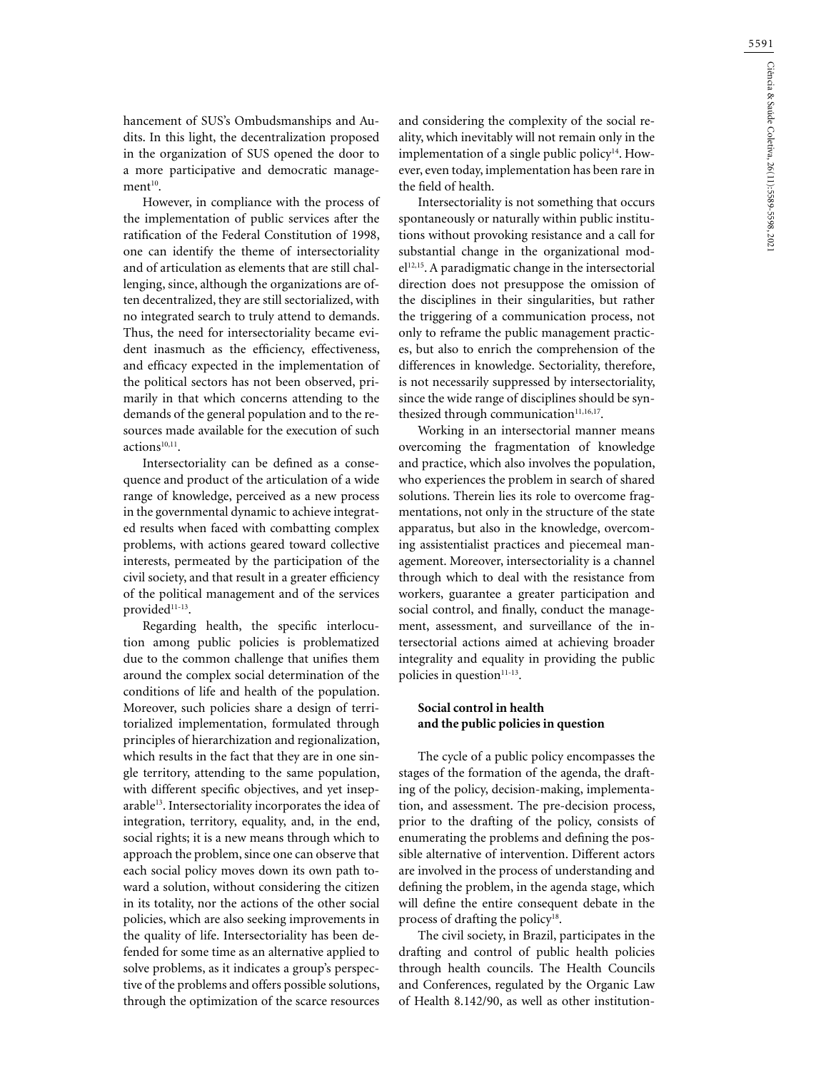hancement of SUS's Ombudsmanships and Audits. In this light, the decentralization proposed in the organization of SUS opened the door to a more participative and democratic manage $ment<sup>10</sup>$ .

However, in compliance with the process of the implementation of public services after the ratification of the Federal Constitution of 1998, one can identify the theme of intersectoriality and of articulation as elements that are still challenging, since, although the organizations are often decentralized, they are still sectorialized, with no integrated search to truly attend to demands. Thus, the need for intersectoriality became evident inasmuch as the efficiency, effectiveness, and efficacy expected in the implementation of the political sectors has not been observed, primarily in that which concerns attending to the demands of the general population and to the resources made available for the execution of such actions<sup>10,11</sup>.

Intersectoriality can be defined as a consequence and product of the articulation of a wide range of knowledge, perceived as a new process in the governmental dynamic to achieve integrated results when faced with combatting complex problems, with actions geared toward collective interests, permeated by the participation of the civil society, and that result in a greater efficiency of the political management and of the services provided<sup>11-13</sup>.

Regarding health, the specific interlocution among public policies is problematized due to the common challenge that unifies them around the complex social determination of the conditions of life and health of the population. Moreover, such policies share a design of territorialized implementation, formulated through principles of hierarchization and regionalization, which results in the fact that they are in one single territory, attending to the same population, with different specific objectives, and yet inseparable<sup>13</sup>. Intersectoriality incorporates the idea of integration, territory, equality, and, in the end, social rights; it is a new means through which to approach the problem, since one can observe that each social policy moves down its own path toward a solution, without considering the citizen in its totality, nor the actions of the other social policies, which are also seeking improvements in the quality of life. Intersectoriality has been defended for some time as an alternative applied to solve problems, as it indicates a group's perspective of the problems and offers possible solutions, through the optimization of the scarce resources

and considering the complexity of the social reality, which inevitably will not remain only in the implementation of a single public policy<sup>14</sup>. However, even today, implementation has been rare in the field of health.

Intersectoriality is not something that occurs spontaneously or naturally within public institutions without provoking resistance and a call for substantial change in the organizational model<sup>12,15</sup>. A paradigmatic change in the intersectorial direction does not presuppose the omission of the disciplines in their singularities, but rather the triggering of a communication process, not only to reframe the public management practices, but also to enrich the comprehension of the differences in knowledge. Sectoriality, therefore, is not necessarily suppressed by intersectoriality, since the wide range of disciplines should be synthesized through communication<sup>11,16,17</sup>.

Working in an intersectorial manner means overcoming the fragmentation of knowledge and practice, which also involves the population, who experiences the problem in search of shared solutions. Therein lies its role to overcome fragmentations, not only in the structure of the state apparatus, but also in the knowledge, overcoming assistentialist practices and piecemeal management. Moreover, intersectoriality is a channel through which to deal with the resistance from workers, guarantee a greater participation and social control, and finally, conduct the management, assessment, and surveillance of the intersectorial actions aimed at achieving broader integrality and equality in providing the public policies in question $11-13$ .

# **Social control in health and the public policies in question**

The cycle of a public policy encompasses the stages of the formation of the agenda, the drafting of the policy, decision-making, implementation, and assessment. The pre-decision process, prior to the drafting of the policy, consists of enumerating the problems and defining the possible alternative of intervention. Different actors are involved in the process of understanding and defining the problem, in the agenda stage, which will define the entire consequent debate in the process of drafting the policy<sup>18</sup>.

The civil society, in Brazil, participates in the drafting and control of public health policies through health councils. The Health Councils and Conferences, regulated by the Organic Law of Health 8.142/90, as well as other institution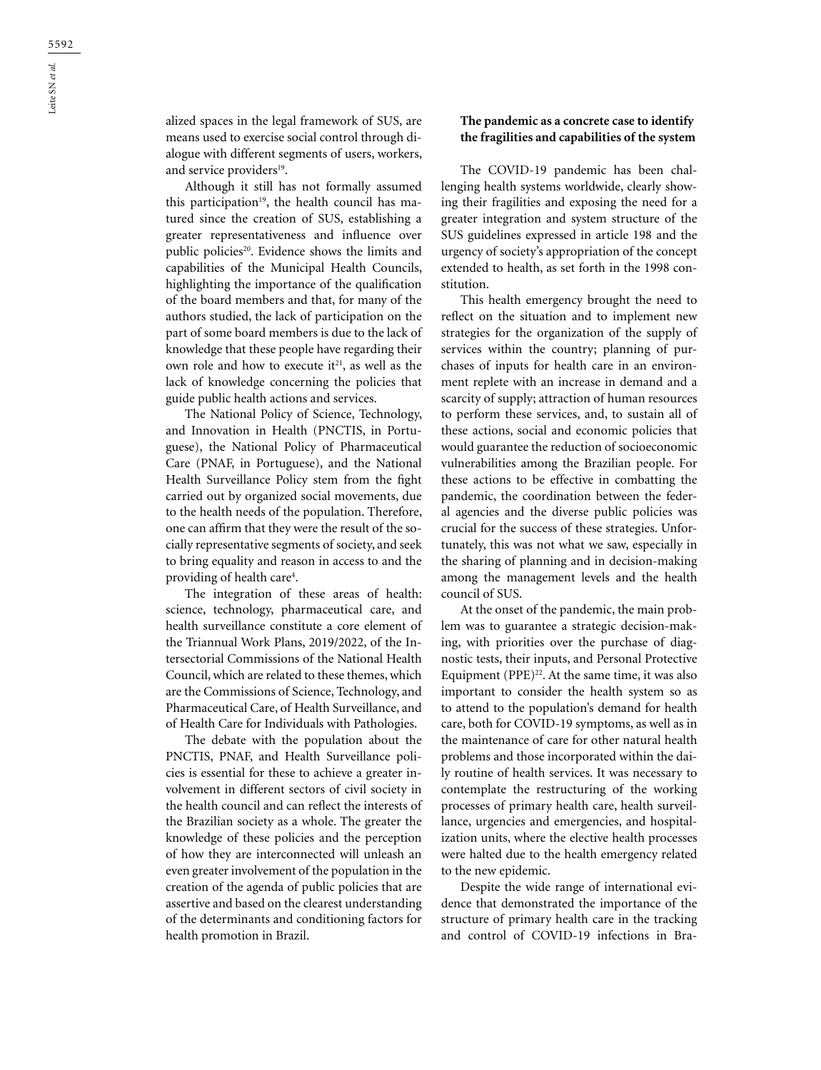alized spaces in the legal framework of SUS, are means used to exercise social control through dialogue with different segments of users, workers, and service providers<sup>19</sup>.

Although it still has not formally assumed this participation<sup>19</sup>, the health council has matured since the creation of SUS, establishing a greater representativeness and influence over public policies<sup>20</sup>. Evidence shows the limits and capabilities of the Municipal Health Councils, highlighting the importance of the qualification of the board members and that, for many of the authors studied, the lack of participation on the part of some board members is due to the lack of knowledge that these people have regarding their own role and how to execute it<sup>21</sup>, as well as the lack of knowledge concerning the policies that guide public health actions and services.

The National Policy of Science, Technology, and Innovation in Health (PNCTIS, in Portuguese), the National Policy of Pharmaceutical Care (PNAF, in Portuguese), and the National Health Surveillance Policy stem from the fight carried out by organized social movements, due to the health needs of the population. Therefore, one can affirm that they were the result of the socially representative segments of society, and seek to bring equality and reason in access to and the providing of health care<sup>4</sup>.

The integration of these areas of health: science, technology, pharmaceutical care, and health surveillance constitute a core element of the Triannual Work Plans, 2019/2022, of the Intersectorial Commissions of the National Health Council, which are related to these themes, which are the Commissions of Science, Technology, and Pharmaceutical Care, of Health Surveillance, and of Health Care for Individuals with Pathologies.

The debate with the population about the PNCTIS, PNAF, and Health Surveillance policies is essential for these to achieve a greater involvement in different sectors of civil society in the health council and can reflect the interests of the Brazilian society as a whole. The greater the knowledge of these policies and the perception of how they are interconnected will unleash an even greater involvement of the population in the creation of the agenda of public policies that are assertive and based on the clearest understanding of the determinants and conditioning factors for health promotion in Brazil.

### **The pandemic as a concrete case to identify the fragilities and capabilities of the system**

The COVID-19 pandemic has been challenging health systems worldwide, clearly showing their fragilities and exposing the need for a greater integration and system structure of the SUS guidelines expressed in article 198 and the urgency of society's appropriation of the concept extended to health, as set forth in the 1998 constitution.

This health emergency brought the need to reflect on the situation and to implement new strategies for the organization of the supply of services within the country; planning of purchases of inputs for health care in an environment replete with an increase in demand and a scarcity of supply; attraction of human resources to perform these services, and, to sustain all of these actions, social and economic policies that would guarantee the reduction of socioeconomic vulnerabilities among the Brazilian people. For these actions to be effective in combatting the pandemic, the coordination between the federal agencies and the diverse public policies was crucial for the success of these strategies. Unfortunately, this was not what we saw, especially in the sharing of planning and in decision-making among the management levels and the health council of SUS.

At the onset of the pandemic, the main problem was to guarantee a strategic decision-making, with priorities over the purchase of diagnostic tests, their inputs, and Personal Protective Equipment (PPE) $^{22}$ . At the same time, it was also important to consider the health system so as to attend to the population's demand for health care, both for COVID-19 symptoms, as well as in the maintenance of care for other natural health problems and those incorporated within the daily routine of health services. It was necessary to contemplate the restructuring of the working processes of primary health care, health surveillance, urgencies and emergencies, and hospitalization units, where the elective health processes were halted due to the health emergency related to the new epidemic.

Despite the wide range of international evidence that demonstrated the importance of the structure of primary health care in the tracking and control of COVID-19 infections in Bra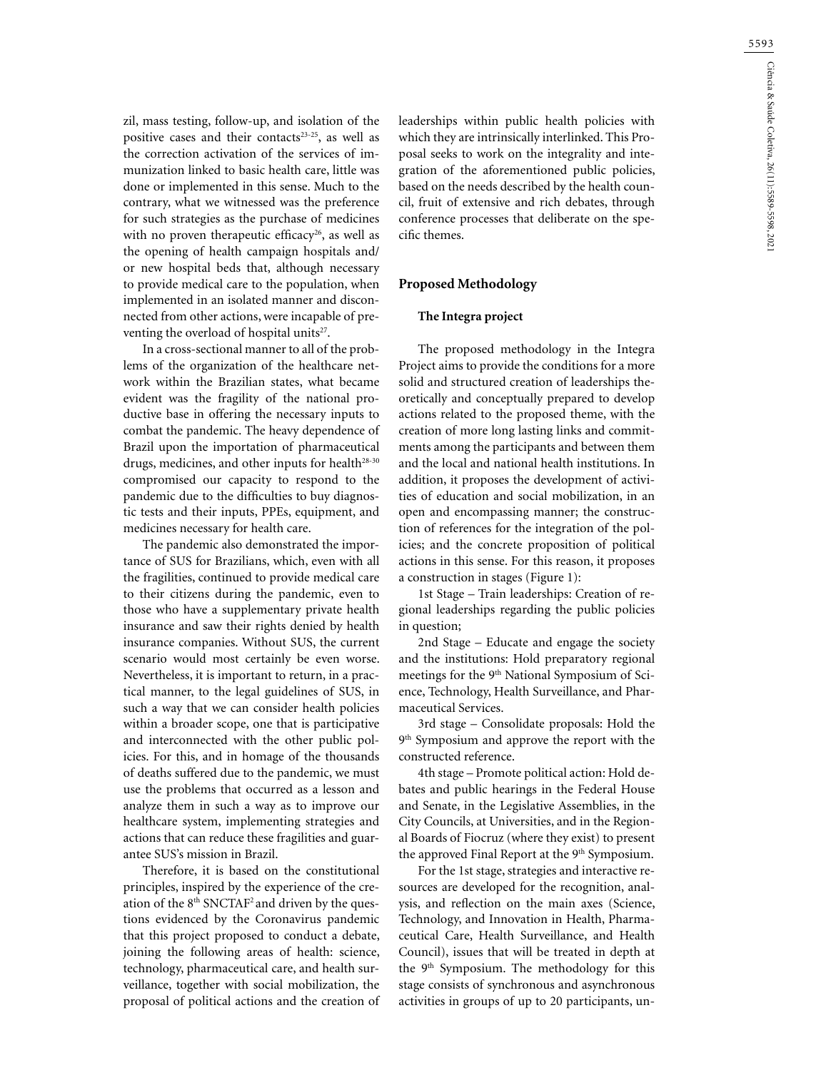zil, mass testing, follow-up, and isolation of the positive cases and their contacts<sup>23-25</sup>, as well as the correction activation of the services of immunization linked to basic health care, little was done or implemented in this sense. Much to the contrary, what we witnessed was the preference for such strategies as the purchase of medicines with no proven therapeutic efficacy<sup>26</sup>, as well as the opening of health campaign hospitals and/ or new hospital beds that, although necessary to provide medical care to the population, when implemented in an isolated manner and disconnected from other actions, were incapable of preventing the overload of hospital units<sup>27</sup>.

In a cross-sectional manner to all of the problems of the organization of the healthcare network within the Brazilian states, what became evident was the fragility of the national productive base in offering the necessary inputs to combat the pandemic. The heavy dependence of Brazil upon the importation of pharmaceutical drugs, medicines, and other inputs for health28-30 compromised our capacity to respond to the pandemic due to the difficulties to buy diagnostic tests and their inputs, PPEs, equipment, and medicines necessary for health care.

The pandemic also demonstrated the importance of SUS for Brazilians, which, even with all the fragilities, continued to provide medical care to their citizens during the pandemic, even to those who have a supplementary private health insurance and saw their rights denied by health insurance companies. Without SUS, the current scenario would most certainly be even worse. Nevertheless, it is important to return, in a practical manner, to the legal guidelines of SUS, in such a way that we can consider health policies within a broader scope, one that is participative and interconnected with the other public policies. For this, and in homage of the thousands of deaths suffered due to the pandemic, we must use the problems that occurred as a lesson and analyze them in such a way as to improve our healthcare system, implementing strategies and actions that can reduce these fragilities and guarantee SUS's mission in Brazil.

Therefore, it is based on the constitutional principles, inspired by the experience of the creation of the 8th SNCTAF2 and driven by the questions evidenced by the Coronavirus pandemic that this project proposed to conduct a debate, joining the following areas of health: science, technology, pharmaceutical care, and health surveillance, together with social mobilization, the proposal of political actions and the creation of leaderships within public health policies with which they are intrinsically interlinked. This Proposal seeks to work on the integrality and integration of the aforementioned public policies, based on the needs described by the health council, fruit of extensive and rich debates, through conference processes that deliberate on the specific themes.

#### **Proposed Methodology**

#### **The Integra project**

The proposed methodology in the Integra Project aims to provide the conditions for a more solid and structured creation of leaderships theoretically and conceptually prepared to develop actions related to the proposed theme, with the creation of more long lasting links and commitments among the participants and between them and the local and national health institutions. In addition, it proposes the development of activities of education and social mobilization, in an open and encompassing manner; the construction of references for the integration of the policies; and the concrete proposition of political actions in this sense. For this reason, it proposes a construction in stages (Figure 1):

1st Stage – Train leaderships: Creation of regional leaderships regarding the public policies in question;

2nd Stage – Educate and engage the society and the institutions: Hold preparatory regional meetings for the 9<sup>th</sup> National Symposium of Science, Technology, Health Surveillance, and Pharmaceutical Services.

3rd stage – Consolidate proposals: Hold the 9<sup>th</sup> Symposium and approve the report with the constructed reference.

4th stage – Promote political action: Hold debates and public hearings in the Federal House and Senate, in the Legislative Assemblies, in the City Councils, at Universities, and in the Regional Boards of Fiocruz (where they exist) to present the approved Final Report at the 9<sup>th</sup> Symposium.

For the 1st stage, strategies and interactive resources are developed for the recognition, analysis, and reflection on the main axes (Science, Technology, and Innovation in Health, Pharmaceutical Care, Health Surveillance, and Health Council), issues that will be treated in depth at the 9<sup>th</sup> Symposium. The methodology for this stage consists of synchronous and asynchronous activities in groups of up to 20 participants, un-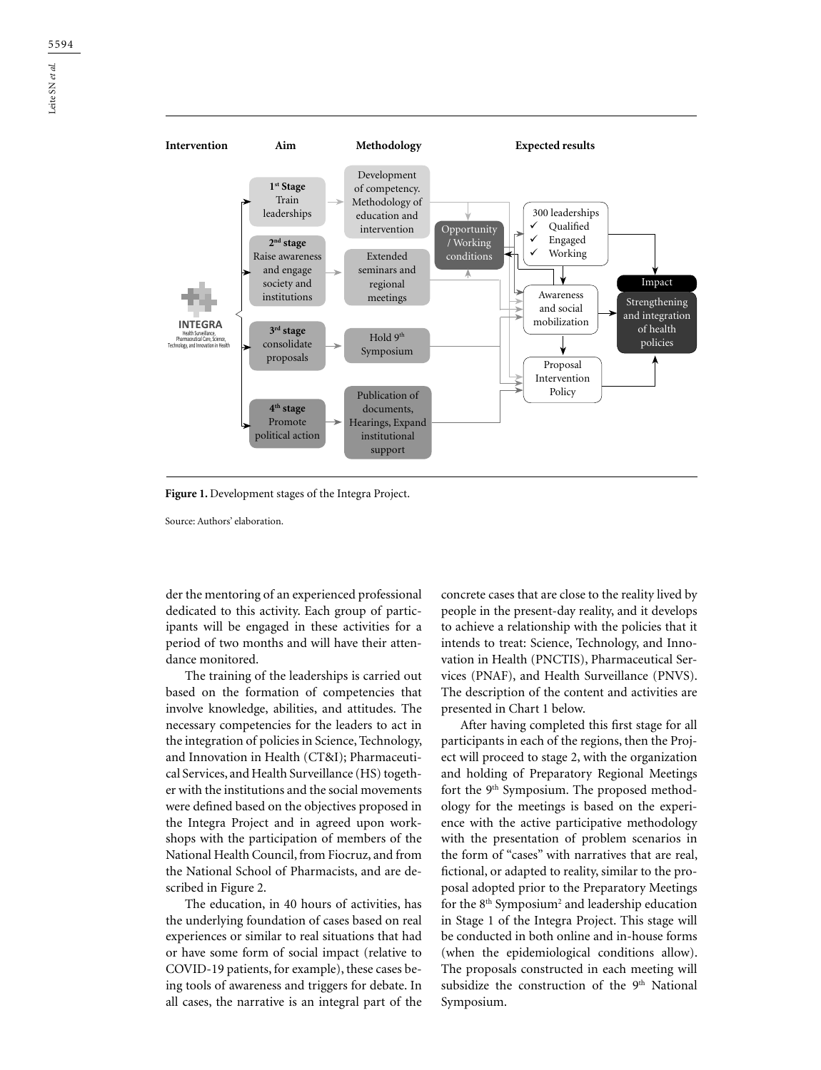

**Figure 1.** Development stages of the Integra Project.

Source: Authors' elaboration.

der the mentoring of an experienced professional dedicated to this activity. Each group of participants will be engaged in these activities for a period of two months and will have their attendance monitored.

The training of the leaderships is carried out based on the formation of competencies that involve knowledge, abilities, and attitudes. The necessary competencies for the leaders to act in the integration of policies in Science, Technology, and Innovation in Health (CT&I); Pharmaceutical Services, and Health Surveillance (HS) together with the institutions and the social movements were defined based on the objectives proposed in the Integra Project and in agreed upon workshops with the participation of members of the National Health Council, from Fiocruz, and from the National School of Pharmacists, and are described in Figure 2.

The education, in 40 hours of activities, has the underlying foundation of cases based on real experiences or similar to real situations that had or have some form of social impact (relative to COVID-19 patients, for example), these cases being tools of awareness and triggers for debate. In all cases, the narrative is an integral part of the

concrete cases that are close to the reality lived by people in the present-day reality, and it develops to achieve a relationship with the policies that it intends to treat: Science, Technology, and Innovation in Health (PNCTIS), Pharmaceutical Services (PNAF), and Health Surveillance (PNVS). The description of the content and activities are presented in Chart 1 below.

After having completed this first stage for all participants in each of the regions, then the Project will proceed to stage 2, with the organization and holding of Preparatory Regional Meetings fort the 9<sup>th</sup> Symposium. The proposed methodology for the meetings is based on the experience with the active participative methodology with the presentation of problem scenarios in the form of "cases" with narratives that are real, fictional, or adapted to reality, similar to the proposal adopted prior to the Preparatory Meetings for the 8<sup>th</sup> Symposium<sup>2</sup> and leadership education in Stage 1 of the Integra Project. This stage will be conducted in both online and in-house forms (when the epidemiological conditions allow). The proposals constructed in each meeting will subsidize the construction of the 9<sup>th</sup> National Symposium.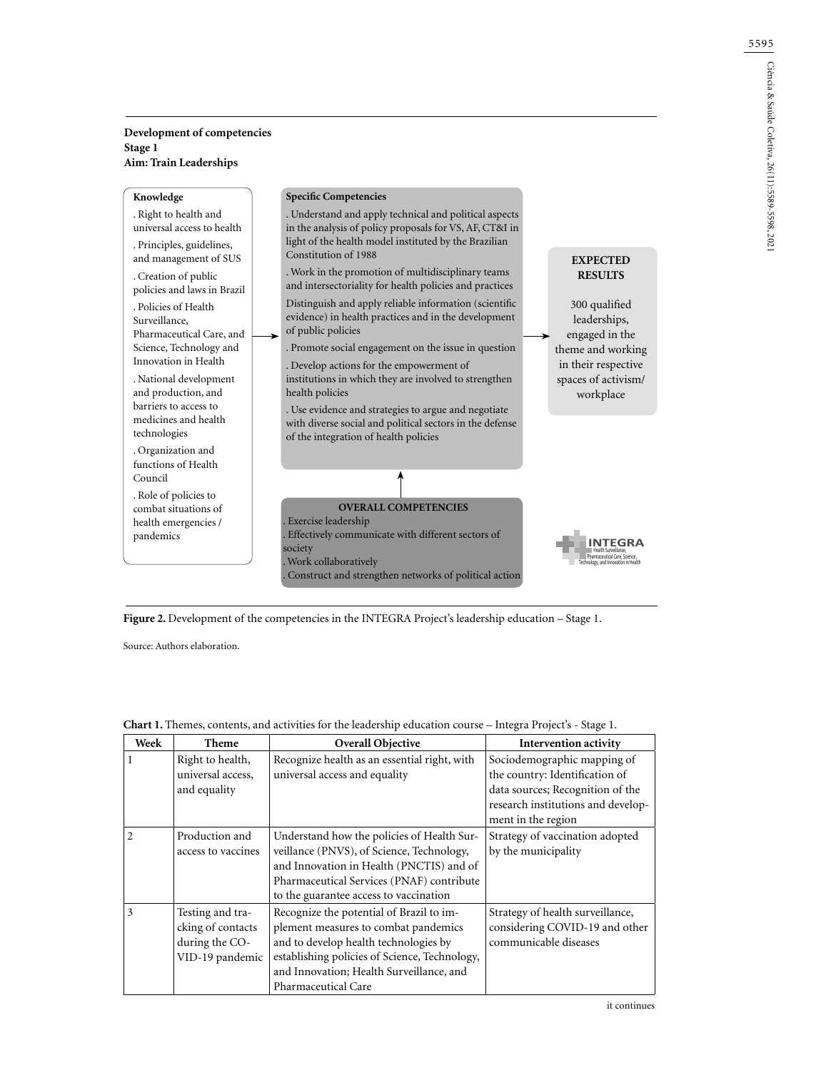## **Development of competencies Stage 1 Aim: Train Leaderships**

| Knowledge                                                             |             | <b>Specific Competencies</b>                                                                                                                              |                                                 |
|-----------------------------------------------------------------------|-------------|-----------------------------------------------------------------------------------------------------------------------------------------------------------|-------------------------------------------------|
| . Right to health and<br>universal access to health                   |             | . Understand and apply technical and political aspects<br>in the analysis of policy proposals for VS, AF, CT&I in                                         |                                                 |
| . Principles, guidelines,<br>and management of SUS                    |             | light of the health model instituted by the Brazilian<br>Constitution of 1988                                                                             | <b>EXPECTED</b>                                 |
| . Creation of public<br>policies and laws in Brazil                   |             | . Work in the promotion of multidisciplinary teams<br>and intersectoriality for health policies and practices                                             | <b>RESULTS</b>                                  |
| . Policies of Health<br>Surveillance,<br>Pharmaceutical Care, and     | <b>&gt;</b> | Distinguish and apply reliable information (scientific<br>evidence) in health practices and in the development<br>of public policies                      | 300 qualified<br>leaderships,<br>engaged in the |
| Science, Technology and<br>Innovation in Health                       |             | . Promote social engagement on the issue in question<br>. Develop actions for the empowerment of                                                          | theme and working<br>in their respective        |
| . National development<br>and production, and                         |             | institutions in which they are involved to strengthen<br>health policies                                                                                  | spaces of activism/<br>workplace                |
| barriers to access to<br>medicines and health<br>technologies         |             | . Use evidence and strategies to argue and negotiate<br>with diverse social and political sectors in the defense<br>of the integration of health policies |                                                 |
| . Organization and<br>functions of Health<br>Council                  |             |                                                                                                                                                           |                                                 |
| . Role of policies to<br>combat situations of<br>health emergencies / |             | <b>OVERALL COMPETENCIES</b><br>Exercise leadership                                                                                                        |                                                 |
| pandemics                                                             |             | . Effectively communicate with different sectors of<br>society<br>. Work collaboratively                                                                  | hnology, and Innovation in Health               |
|                                                                       |             | Construct and strengthen networks of political action                                                                                                     |                                                 |

Figure 2. Development of the competencies in the INTEGRA Project's leadership education – Stage 1.

Source: Authors elaboration.

| Week           | Theme                                                                      | Overall Objective                                                                                                                                                                                                                             | <b>Intervention activity</b>                                                                                                                                  |
|----------------|----------------------------------------------------------------------------|-----------------------------------------------------------------------------------------------------------------------------------------------------------------------------------------------------------------------------------------------|---------------------------------------------------------------------------------------------------------------------------------------------------------------|
|                | Right to health,<br>universal access,<br>and equality                      | Recognize health as an essential right, with<br>universal access and equality                                                                                                                                                                 | Sociodemographic mapping of<br>the country: Identification of<br>data sources; Recognition of the<br>research institutions and develop-<br>ment in the region |
| $\mathfrak{D}$ | Production and<br>access to vaccines                                       | Understand how the policies of Health Sur-<br>veillance (PNVS), of Science, Technology,<br>and Innovation in Health (PNCTIS) and of<br>Pharmaceutical Services (PNAF) contribute<br>to the guarantee access to vaccination                    | Strategy of vaccination adopted<br>by the municipality                                                                                                        |
| 3              | Testing and tra-<br>cking of contacts<br>during the CO-<br>VID-19 pandemic | Recognize the potential of Brazil to im-<br>plement measures to combat pandemics<br>and to develop health technologies by<br>establishing policies of Science, Technology,<br>and Innovation; Health Surveillance, and<br>Pharmaceutical Care | Strategy of health surveillance,<br>considering COVID-19 and other<br>communicable diseases                                                                   |

## **Chart 1.** Themes, contents, and activities for the leadership education course – Integra Project's - Stage 1.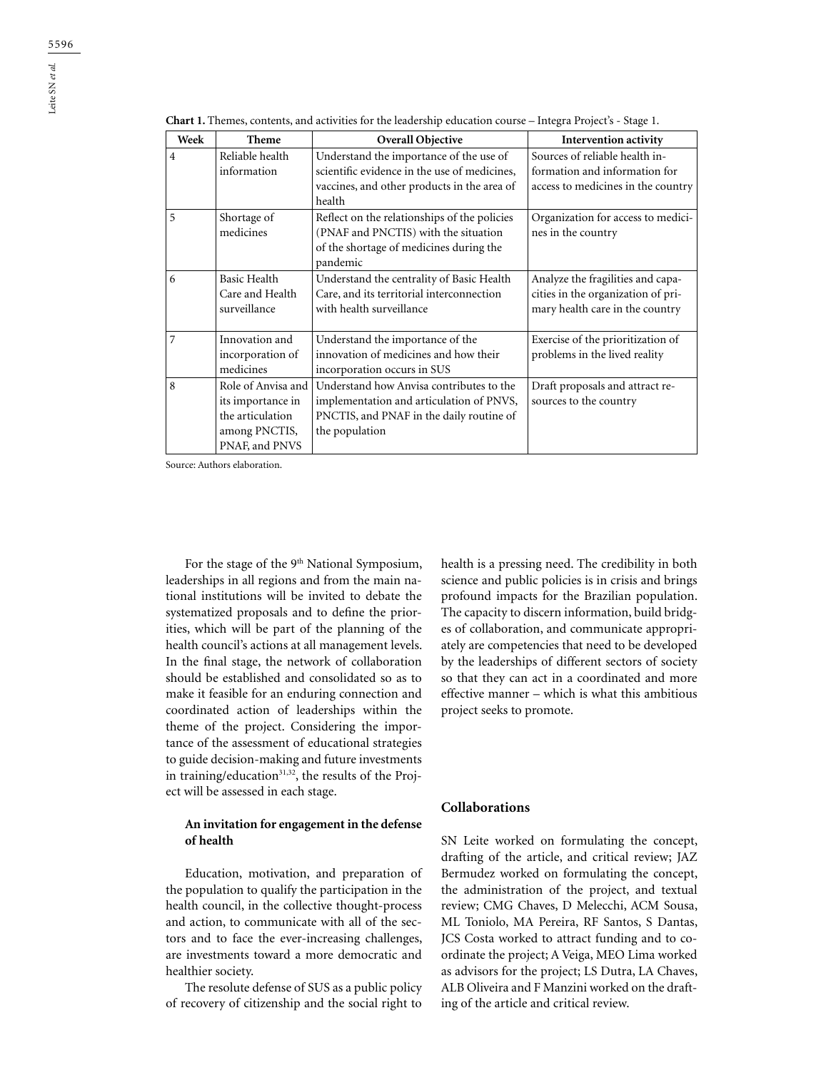| Week           | Theme                                                                                          | Overall Objective                                                                                                                                  | Intervention activity                                                                                      |
|----------------|------------------------------------------------------------------------------------------------|----------------------------------------------------------------------------------------------------------------------------------------------------|------------------------------------------------------------------------------------------------------------|
| $\overline{4}$ | Reliable health<br>information                                                                 | Understand the importance of the use of<br>scientific evidence in the use of medicines,<br>vaccines, and other products in the area of<br>health   | Sources of reliable health in-<br>formation and information for<br>access to medicines in the country      |
| 5              | Shortage of<br>medicines                                                                       | Reflect on the relationships of the policies<br>(PNAF and PNCTIS) with the situation<br>of the shortage of medicines during the<br>pandemic        | Organization for access to medici-<br>nes in the country                                                   |
| 6              | <b>Basic Health</b><br>Care and Health<br>surveillance                                         | Understand the centrality of Basic Health<br>Care, and its territorial interconnection<br>with health surveillance                                 | Analyze the fragilities and capa-<br>cities in the organization of pri-<br>mary health care in the country |
| 7              | Innovation and<br>incorporation of<br>medicines                                                | Understand the importance of the<br>innovation of medicines and how their<br>incorporation occurs in SUS                                           | Exercise of the prioritization of<br>problems in the lived reality                                         |
| 8              | Role of Anvisa and<br>its importance in<br>the articulation<br>among PNCTIS,<br>PNAF, and PNVS | Understand how Anvisa contributes to the<br>implementation and articulation of PNVS,<br>PNCTIS, and PNAF in the daily routine of<br>the population | Draft proposals and attract re-<br>sources to the country                                                  |

**Chart 1.** Themes, contents, and activities for the leadership education course – Integra Project's - Stage 1.

Source: Authors elaboration.

For the stage of the 9<sup>th</sup> National Symposium, leaderships in all regions and from the main national institutions will be invited to debate the systematized proposals and to define the priorities, which will be part of the planning of the health council's actions at all management levels. In the final stage, the network of collaboration should be established and consolidated so as to make it feasible for an enduring connection and coordinated action of leaderships within the theme of the project. Considering the importance of the assessment of educational strategies to guide decision-making and future investments in training/education<sup>31,32</sup>, the results of the Project will be assessed in each stage.

### **An invitation for engagement in the defense of health**

Education, motivation, and preparation of the population to qualify the participation in the health council, in the collective thought-process and action, to communicate with all of the sectors and to face the ever-increasing challenges, are investments toward a more democratic and healthier society.

The resolute defense of SUS as a public policy of recovery of citizenship and the social right to

health is a pressing need. The credibility in both science and public policies is in crisis and brings profound impacts for the Brazilian population. The capacity to discern information, build bridges of collaboration, and communicate appropriately are competencies that need to be developed by the leaderships of different sectors of society so that they can act in a coordinated and more effective manner – which is what this ambitious project seeks to promote.

# **Collaborations**

SN Leite worked on formulating the concept, drafting of the article, and critical review; JAZ Bermudez worked on formulating the concept, the administration of the project, and textual review; CMG Chaves, D Melecchi, ACM Sousa, ML Toniolo, MA Pereira, RF Santos, S Dantas, JCS Costa worked to attract funding and to coordinate the project; A Veiga, MEO Lima worked as advisors for the project; LS Dutra, LA Chaves, ALB Oliveira and F Manzini worked on the drafting of the article and critical review.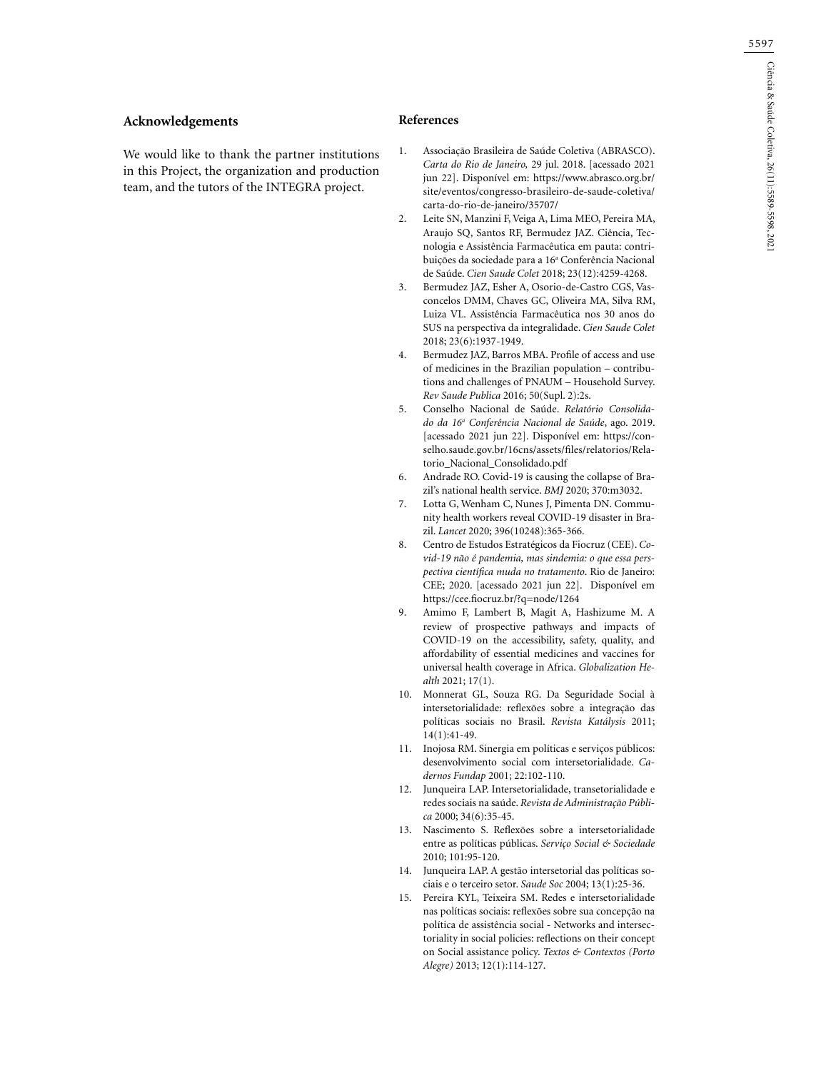### **Acknowledgements**

We would like to thank the partner institutions in this Project, the organization and production team, and the tutors of the INTEGRA project.

#### **References**

- 1. Associação Brasileira de Saúde Coletiva (ABRASCO). *Carta do Rio de Janeiro,* 29 jul. 2018. [acessado 2021 jun 22]. Disponível em: https://www.abrasco.org.br/ site/eventos/congresso-brasileiro-de-saude-coletiva/ carta-do-rio-de-janeiro/35707/
- 2. Leite SN, Manzini F, Veiga A, Lima MEO, Pereira MA, Araujo SQ, Santos RF, Bermudez JAZ. Ciência, Tecnologia e Assistência Farmacêutica em pauta: contribuições da sociedade para a 16ª Conferência Nacional de Saúde. *Cien Saude Colet* 2018; 23(12):4259-4268.
- 3. Bermudez JAZ, Esher A, Osorio-de-Castro CGS, Vasconcelos DMM, Chaves GC, Oliveira MA, Silva RM, Luiza VL. Assistência Farmacêutica nos 30 anos do SUS na perspectiva da integralidade. *Cien Saude Colet* 2018; 23(6):1937-1949.
- 4. Bermudez JAZ, Barros MBA. Profile of access and use of medicines in the Brazilian population – contributions and challenges of PNAUM – Household Survey. *Rev Saude Publica* 2016; 50(Supl. 2):2s.
- 5. Conselho Nacional de Saúde. *Relatório Consolidado da 16a Conferência Nacional de Saúde*, ago. 2019. [acessado 2021 jun 22]. Disponível em: https://conselho.saude.gov.br/16cns/assets/files/relatorios/Relatorio\_Nacional\_Consolidado.pdf
- 6. Andrade RO. Covid-19 is causing the collapse of Brazil's national health service. *BMJ* 2020; 370:m3032.
- 7. Lotta G, Wenham C, Nunes J, Pimenta DN. Community health workers reveal COVID-19 disaster in Brazil. *Lancet* 2020; 396(10248):365-366.
- 8. Centro de Estudos Estratégicos da Fiocruz (CEE). *Covid-19 não é pandemia, mas sindemia: o que essa perspectiva científica muda no tratamento*. Rio de Janeiro: CEE; 2020. [acessado 2021 jun 22]. Disponível em https://cee.fiocruz.br/?q=node/1264
- 9. Amimo F, Lambert B, Magit A, Hashizume M. A review of prospective pathways and impacts of COVID-19 on the accessibility, safety, quality, and affordability of essential medicines and vaccines for universal health coverage in Africa. *Globalization Health* 2021; 17(1).
- 10. Monnerat GL, Souza RG. Da Seguridade Social à intersetorialidade: reflexões sobre a integração das políticas sociais no Brasil. *Revista Katálysis* 2011; 14(1):41-49.
- 11. Inojosa RM. Sinergia em políticas e serviços públicos: desenvolvimento social com intersetorialidade. *Cadernos Fundap* 2001; 22:102-110.
- 12. Junqueira LAP. Intersetorialidade, transetorialidade e redes sociais na saúde. *Revista de Administração Pública* 2000; 34(6):35-45.
- 13. Nascimento S. Reflexões sobre a intersetorialidade entre as políticas públicas. *Serviço Social & Sociedade* 2010; 101:95-120.
- 14. Junqueira LAP. A gestão intersetorial das políticas sociais e o terceiro setor. *Saude Soc* 2004; 13(1):25-36.
- 15. Pereira KYL, Teixeira SM. Redes e intersetorialidade nas políticas sociais: reflexões sobre sua concepção na política de assistência social - Networks and intersectoriality in social policies: reflections on their concept on Social assistance policy. *Textos & Contextos (Porto Alegre)* 2013; 12(1):114-127.